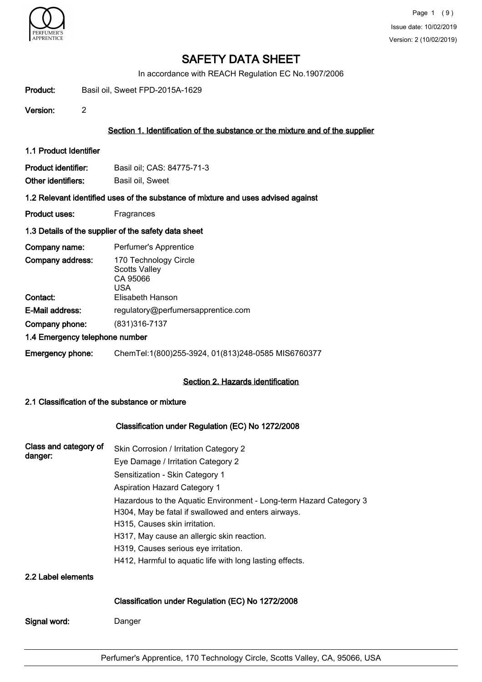

In accordance with REACH Regulation EC No.1907/2006

| Product:                                  | Basil oil, Sweet FPD-2015A-1629                                                   |
|-------------------------------------------|-----------------------------------------------------------------------------------|
| Version:                                  | $\overline{2}$                                                                    |
|                                           | Section 1. Identification of the substance or the mixture and of the supplier     |
| 1.1 Product Identifier                    |                                                                                   |
| Product identifier:<br>Other identifiers: | Basil oil; CAS: 84775-71-3<br>Basil oil, Sweet                                    |
|                                           | 1.2 Relevant identified uses of the substance of mixture and uses advised against |
| <b>Product uses:</b>                      | Fragrances                                                                        |
|                                           | 1.3 Details of the supplier of the safety data sheet                              |
| Company name:                             | Perfumer's Apprentice                                                             |
| Company address:                          | 170 Technology Circle<br><b>Scotts Valley</b><br>CA 95066<br><b>USA</b>           |
| Contact:                                  | Elisabeth Hanson                                                                  |
| E-Mail address:                           | regulatory@perfumersapprentice.com                                                |
| Company phone:                            | (831) 316-7137                                                                    |
|                                           | 1.4 Emergency telephone number                                                    |
| Emergency phone:                          | ChemTel:1(800)255-3924, 01(813)248-0585 MIS6760377                                |
|                                           | Section 2. Hazards identification                                                 |

### 2.1 Classification of the substance or mixture

# Classification under Regulation (EC) No 1272/2008

| Class and category of<br>danger: | Skin Corrosion / Irritation Category 2                                                                    |  |  |  |  |
|----------------------------------|-----------------------------------------------------------------------------------------------------------|--|--|--|--|
|                                  | Eye Damage / Irritation Category 2                                                                        |  |  |  |  |
|                                  | Sensitization - Skin Category 1                                                                           |  |  |  |  |
|                                  | <b>Aspiration Hazard Category 1</b><br>Hazardous to the Aquatic Environment - Long-term Hazard Category 3 |  |  |  |  |
|                                  |                                                                                                           |  |  |  |  |
|                                  | H304, May be fatal if swallowed and enters airways.                                                       |  |  |  |  |
|                                  | H315, Causes skin irritation.                                                                             |  |  |  |  |
|                                  | H317, May cause an allergic skin reaction.                                                                |  |  |  |  |
|                                  | H319, Causes serious eye irritation.                                                                      |  |  |  |  |
|                                  | H412, Harmful to aquatic life with long lasting effects.                                                  |  |  |  |  |
| 2.2 Label elements               |                                                                                                           |  |  |  |  |
|                                  | Classification under Regulation (EC) No 1272/2008                                                         |  |  |  |  |
| Signal word:                     | Danger                                                                                                    |  |  |  |  |
|                                  |                                                                                                           |  |  |  |  |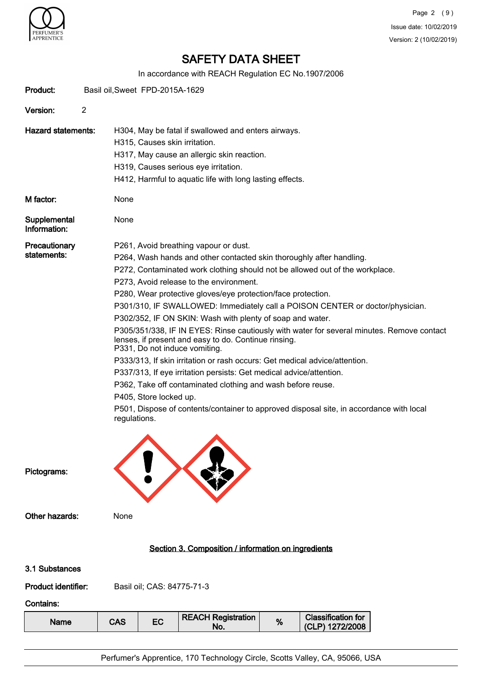

In accordance with REACH Regulation EC No.1907/2006

|                                                                            |                                                                                                                                                                                    |                                                             |                                      |  | IN accordance with REACH Regulation EC NO. 1907/2006         |  |   |                                                                                         |
|----------------------------------------------------------------------------|------------------------------------------------------------------------------------------------------------------------------------------------------------------------------------|-------------------------------------------------------------|--------------------------------------|--|--------------------------------------------------------------|--|---|-----------------------------------------------------------------------------------------|
| Product:                                                                   |                                                                                                                                                                                    | Basil oil, Sweet FPD-2015A-1629                             |                                      |  |                                                              |  |   |                                                                                         |
| Version:                                                                   | $\overline{2}$                                                                                                                                                                     |                                                             |                                      |  |                                                              |  |   |                                                                                         |
| <b>Hazard statements:</b>                                                  |                                                                                                                                                                                    | H304, May be fatal if swallowed and enters airways.         |                                      |  |                                                              |  |   |                                                                                         |
|                                                                            |                                                                                                                                                                                    |                                                             | H315, Causes skin irritation.        |  |                                                              |  |   |                                                                                         |
|                                                                            |                                                                                                                                                                                    |                                                             |                                      |  | H317, May cause an allergic skin reaction.                   |  |   |                                                                                         |
|                                                                            |                                                                                                                                                                                    |                                                             | H319, Causes serious eye irritation. |  |                                                              |  |   |                                                                                         |
|                                                                            |                                                                                                                                                                                    |                                                             |                                      |  | H412, Harmful to aquatic life with long lasting effects.     |  |   |                                                                                         |
| M factor:                                                                  |                                                                                                                                                                                    | None                                                        |                                      |  |                                                              |  |   |                                                                                         |
| Supplemental<br>Information:                                               |                                                                                                                                                                                    | None                                                        |                                      |  |                                                              |  |   |                                                                                         |
| Precautionary                                                              |                                                                                                                                                                                    |                                                             |                                      |  | P261, Avoid breathing vapour or dust.                        |  |   |                                                                                         |
| statements:                                                                |                                                                                                                                                                                    |                                                             |                                      |  |                                                              |  |   | P264, Wash hands and other contacted skin thoroughly after handling.                    |
|                                                                            |                                                                                                                                                                                    |                                                             |                                      |  |                                                              |  |   | P272, Contaminated work clothing should not be allowed out of the workplace.            |
|                                                                            |                                                                                                                                                                                    |                                                             |                                      |  | P273, Avoid release to the environment.                      |  |   |                                                                                         |
|                                                                            |                                                                                                                                                                                    |                                                             |                                      |  | P280, Wear protective gloves/eye protection/face protection. |  |   |                                                                                         |
|                                                                            |                                                                                                                                                                                    |                                                             |                                      |  |                                                              |  |   | P301/310, IF SWALLOWED: Immediately call a POISON CENTER or doctor/physician.           |
|                                                                            |                                                                                                                                                                                    |                                                             |                                      |  | P302/352, IF ON SKIN: Wash with plenty of soap and water.    |  |   |                                                                                         |
|                                                                            | P305/351/338, IF IN EYES: Rinse cautiously with water for several minutes. Remove contact<br>lenses, if present and easy to do. Continue rinsing.<br>P331, Do not induce vomiting. |                                                             |                                      |  |                                                              |  |   |                                                                                         |
| P333/313, If skin irritation or rash occurs: Get medical advice/attention. |                                                                                                                                                                                    |                                                             |                                      |  |                                                              |  |   |                                                                                         |
|                                                                            | P337/313, If eye irritation persists: Get medical advice/attention.                                                                                                                |                                                             |                                      |  |                                                              |  |   |                                                                                         |
|                                                                            |                                                                                                                                                                                    | P362, Take off contaminated clothing and wash before reuse. |                                      |  |                                                              |  |   |                                                                                         |
|                                                                            |                                                                                                                                                                                    | P405, Store locked up.                                      |                                      |  |                                                              |  |   |                                                                                         |
|                                                                            |                                                                                                                                                                                    | regulations.                                                |                                      |  |                                                              |  |   | P501, Dispose of contents/container to approved disposal site, in accordance with local |
| Pictograms:                                                                |                                                                                                                                                                                    |                                                             |                                      |  |                                                              |  |   |                                                                                         |
| Other hazards:                                                             |                                                                                                                                                                                    | None                                                        |                                      |  |                                                              |  |   |                                                                                         |
|                                                                            |                                                                                                                                                                                    |                                                             |                                      |  | Section 3. Composition / information on ingredients          |  |   |                                                                                         |
| 3.1 Substances                                                             |                                                                                                                                                                                    |                                                             |                                      |  |                                                              |  |   |                                                                                         |
| Product identifier:                                                        |                                                                                                                                                                                    |                                                             | Basil oil; CAS: 84775-71-3           |  |                                                              |  |   |                                                                                         |
| <b>Contains:</b>                                                           |                                                                                                                                                                                    |                                                             |                                      |  |                                                              |  |   |                                                                                         |
| <b>Name</b>                                                                |                                                                                                                                                                                    | <b>CAS</b>                                                  | <b>EC</b>                            |  | <b>REACH Registration</b><br>No.                             |  | % | <b>Classification for</b><br>(CLP) 1272/2008                                            |
|                                                                            |                                                                                                                                                                                    |                                                             |                                      |  |                                                              |  |   |                                                                                         |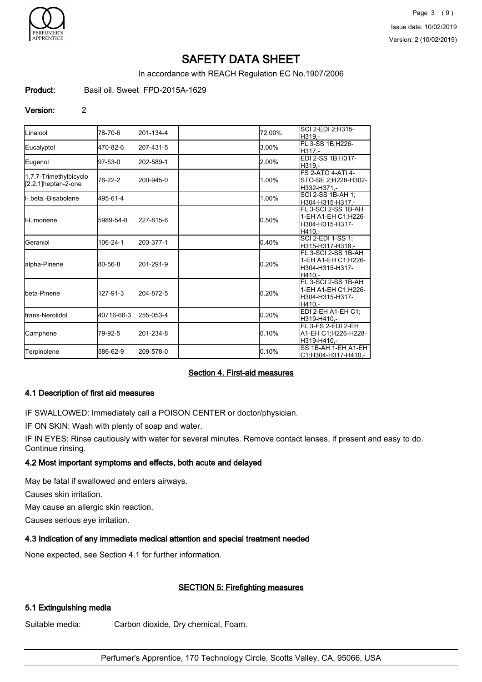

In accordance with REACH Regulation EC No.1907/2006

Product: Basil oil, Sweet FPD-2015A-1629

### Version: 2

| <b>ILinalool</b>       | 78-70-6    | 201-134-4 | 72.00% | SCI 2-EDI 2:H315-        |
|------------------------|------------|-----------|--------|--------------------------|
|                        |            |           |        | H319.-                   |
| Eucalyptol             | 470-82-6   | 207-431-5 | 3.00%  | FL 3-SS 1B;H226-         |
|                        |            |           |        | H317 -                   |
| Eugenol                | $97-53-0$  | 202-589-1 | 2.00%  | EDI 2-SS 1B;H317-        |
|                        |            |           |        | H319.-                   |
| 1,7,7-Trimethylbicyclo |            |           |        | <b>FS 2-ATO 4-ATI 4-</b> |
| [2.2.1]heptan-2-one    | 76-22-2    | 200-945-0 | 1.00%  | STO-SE 2:H228-H302-      |
|                        |            |           |        | H332-H371.-              |
| II- beta -Bisabolene   | 495-61-4   |           | 1.00%  | SCI 2-SS 1B-AH 1:        |
|                        |            |           |        | H304-H315-H317.-         |
|                        |            |           |        | IFL 3-SCI 2-SS 1B-AH     |
| <b>I</b> I-Limonene    | 5989-54-8  | 227-815-6 | 0.50%  | 1-EH A1-EH C1:H226-      |
|                        |            |           |        | H304-H315-H317-          |
|                        |            |           |        | H410.-                   |
| Geraniol               | 106-24-1   | 203-377-1 | 0.40%  | ISCI 2-EDI 1-SS 1:       |
|                        |            |           |        | lH315-H317-H318.-        |
|                        |            |           |        | FL 3-SCI 2-SS 1B-AH      |
| alpha-Pinene           | 80-56-8    | 201-291-9 | 0.20%  | 1-EH A1-EH C1:H226-      |
|                        |            |           |        | H304-H315-H317-          |
|                        |            |           |        | H410.-                   |
|                        |            |           |        | FL 3-SCI 2-SS 1B-AH      |
| Ibeta-Pinene           | 127-91-3   | 204-872-5 | 0.20%  | 1-EH A1-EH C1:H226-      |
|                        |            |           |        | H304-H315-H317-          |
|                        |            |           |        | H410.-                   |
| Itrans-Nerolidol       | 40716-66-3 | 255-053-4 | 0.20%  | EDI 2-EH A1-EH C1;       |
|                        |            |           |        | H319-H410.-              |
|                        |            |           |        | FL 3-FS 2-EDI 2-EH       |
| Camphene               | 79-92-5    | 201-234-8 | 0.10%  | A1-EH C1:H226-H228-      |
|                        |            |           |        | H319-H410.-              |
|                        | 586-62-9   | 209-578-0 | 0.10%  | SS 1B-AH 1-EH A1-EH      |
| Terpinolene            |            |           |        | C1:H304-H317-H410.-      |

# Section 4. First-aid measures

# 4.1 Description of first aid measures

IF SWALLOWED: Immediately call a POISON CENTER or doctor/physician.

IF ON SKIN: Wash with plenty of soap and water.

IF IN EYES: Rinse cautiously with water for several minutes. Remove contact lenses, if present and easy to do. Continue rinsing.

### 4.2 Most important symptoms and effects, both acute and delayed

May be fatal if swallowed and enters airways.

Causes skin irritation.

May cause an allergic skin reaction.

Causes serious eye irritation.

### 4.3 Indication of any immediate medical attention and special treatment needed

None expected, see Section 4.1 for further information.

# SECTION 5: Firefighting measures

## 5.1 Extinguishing media

Suitable media: Carbon dioxide, Dry chemical, Foam.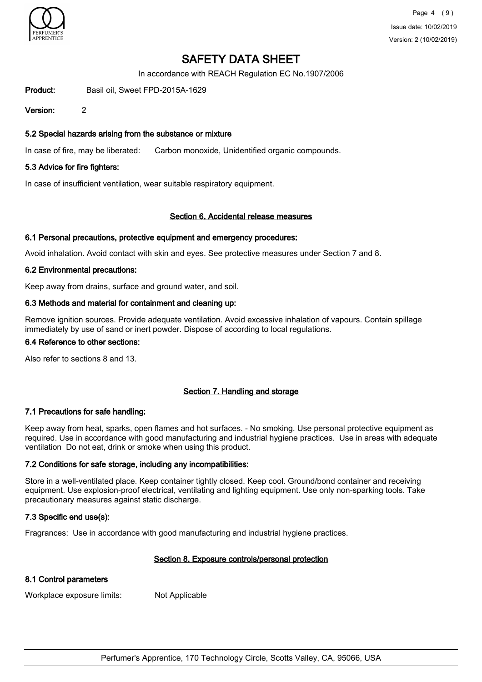

In accordance with REACH Regulation EC No.1907/2006

Product: Basil oil, Sweet FPD-2015A-1629

Version: 2

### 5.2 Special hazards arising from the substance or mixture

In case of fire, may be liberated: Carbon monoxide, Unidentified organic compounds.

### 5.3 Advice for fire fighters:

In case of insufficient ventilation, wear suitable respiratory equipment.

#### Section 6. Accidental release measures

#### 6.1 Personal precautions, protective equipment and emergency procedures:

Avoid inhalation. Avoid contact with skin and eyes. See protective measures under Section 7 and 8.

### 6.2 Environmental precautions:

Keep away from drains, surface and ground water, and soil.

### 6.3 Methods and material for containment and cleaning up:

Remove ignition sources. Provide adequate ventilation. Avoid excessive inhalation of vapours. Contain spillage immediately by use of sand or inert powder. Dispose of according to local regulations.

## 6.4 Reference to other sections:

Also refer to sections 8 and 13.

### Section 7. Handling and storage

#### 7.1 Precautions for safe handling:

Keep away from heat, sparks, open flames and hot surfaces. - No smoking. Use personal protective equipment as required. Use in accordance with good manufacturing and industrial hygiene practices. Use in areas with adequate ventilation Do not eat, drink or smoke when using this product.

#### 7.2 Conditions for safe storage, including any incompatibilities:

Store in a well-ventilated place. Keep container tightly closed. Keep cool. Ground/bond container and receiving equipment. Use explosion-proof electrical, ventilating and lighting equipment. Use only non-sparking tools. Take precautionary measures against static discharge.

### 7.3 Specific end use(s):

Fragrances: Use in accordance with good manufacturing and industrial hygiene practices.

#### Section 8. Exposure controls/personal protection

### 8.1 Control parameters

Workplace exposure limits: Not Applicable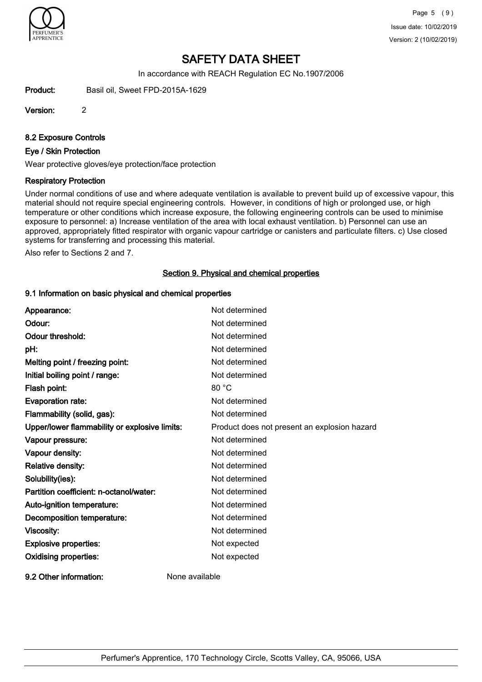

In accordance with REACH Regulation EC No.1907/2006

Product: Basil oil, Sweet FPD-2015A-1629

Version: 2

8.2 Exposure Controls

### Eye / Skin Protection

Wear protective gloves/eye protection/face protection

### Respiratory Protection

Under normal conditions of use and where adequate ventilation is available to prevent build up of excessive vapour, this material should not require special engineering controls. However, in conditions of high or prolonged use, or high temperature or other conditions which increase exposure, the following engineering controls can be used to minimise exposure to personnel: a) Increase ventilation of the area with local exhaust ventilation. b) Personnel can use an approved, appropriately fitted respirator with organic vapour cartridge or canisters and particulate filters. c) Use closed systems for transferring and processing this material.

Also refer to Sections 2 and 7.

## Section 9. Physical and chemical properties

### 9.1 Information on basic physical and chemical properties

| Appearance:                                   | Not determined                               |
|-----------------------------------------------|----------------------------------------------|
| Odour:                                        | Not determined                               |
| <b>Odour threshold:</b>                       | Not determined                               |
| pH:                                           | Not determined                               |
| Melting point / freezing point:               | Not determined                               |
| Initial boiling point / range:                | Not determined                               |
| Flash point:                                  | 80 °C                                        |
| <b>Evaporation rate:</b>                      | Not determined                               |
| Flammability (solid, gas):                    | Not determined                               |
| Upper/lower flammability or explosive limits: | Product does not present an explosion hazard |
| Vapour pressure:                              | Not determined                               |
| Vapour density:                               | Not determined                               |
| Relative density:                             | Not determined                               |
| Solubility(ies):                              | Not determined                               |
| Partition coefficient: n-octanol/water:       | Not determined                               |
| Auto-ignition temperature:                    | Not determined                               |
| Decomposition temperature:                    | Not determined                               |
| Viscosity:                                    | Not determined                               |
| <b>Explosive properties:</b>                  | Not expected                                 |
| <b>Oxidising properties:</b>                  | Not expected                                 |
| 9.2 Other information:                        | None available                               |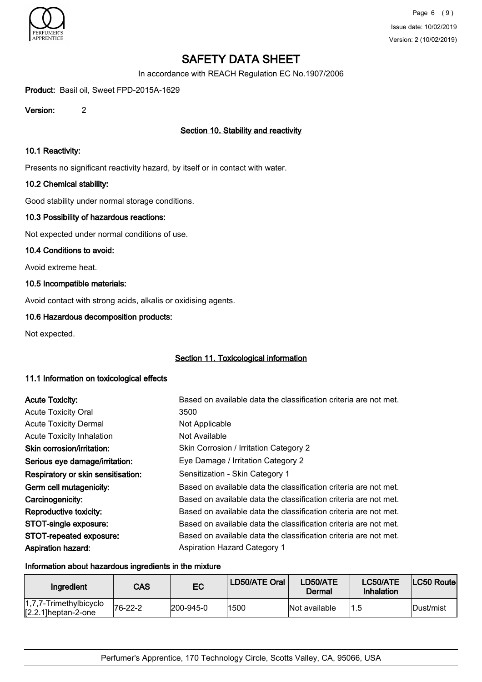

In accordance with REACH Regulation EC No.1907/2006

Product: Basil oil, Sweet FPD-2015A-1629

Version: 2

## Section 10. Stability and reactivity

### 10.1 Reactivity:

Presents no significant reactivity hazard, by itself or in contact with water.

### 10.2 Chemical stability:

Good stability under normal storage conditions.

### 10.3 Possibility of hazardous reactions:

Not expected under normal conditions of use.

### 10.4 Conditions to avoid:

Avoid extreme heat.

### 10.5 Incompatible materials:

Avoid contact with strong acids, alkalis or oxidising agents.

## 10.6 Hazardous decomposition products:

Not expected.

### Section 11. Toxicological information

## 11.1 Information on toxicological effects

| <b>Acute Toxicity:</b>             | Based on available data the classification criteria are not met. |
|------------------------------------|------------------------------------------------------------------|
| <b>Acute Toxicity Oral</b>         | 3500                                                             |
| <b>Acute Toxicity Dermal</b>       | Not Applicable                                                   |
| <b>Acute Toxicity Inhalation</b>   | Not Available                                                    |
| Skin corrosion/irritation:         | Skin Corrosion / Irritation Category 2                           |
| Serious eye damage/irritation:     | Eye Damage / Irritation Category 2                               |
| Respiratory or skin sensitisation: | Sensitization - Skin Category 1                                  |
| Germ cell mutagenicity:            | Based on available data the classification criteria are not met. |
| Carcinogenicity:                   | Based on available data the classification criteria are not met. |
| Reproductive toxicity:             | Based on available data the classification criteria are not met. |
| STOT-single exposure:              | Based on available data the classification criteria are not met. |
| STOT-repeated exposure:            | Based on available data the classification criteria are not met. |
| <b>Aspiration hazard:</b>          | <b>Aspiration Hazard Category 1</b>                              |

#### Information about hazardous ingredients in the mixture

| Ingredient                                          | <b>CAS</b> | EC                | LD50/ATE Oral | LD50/ATE<br>Dermal | LC50/ATE<br>Inhalation | LC50 Routel |
|-----------------------------------------------------|------------|-------------------|---------------|--------------------|------------------------|-------------|
| $1,7,7$ -Trimethylbicyclo<br>$[2.2.1]$ heptan-2-one | 76-22-2    | $ 200 - 945 - 0 $ | 1500          | Not available      | 11.5                   | lDust/mist  |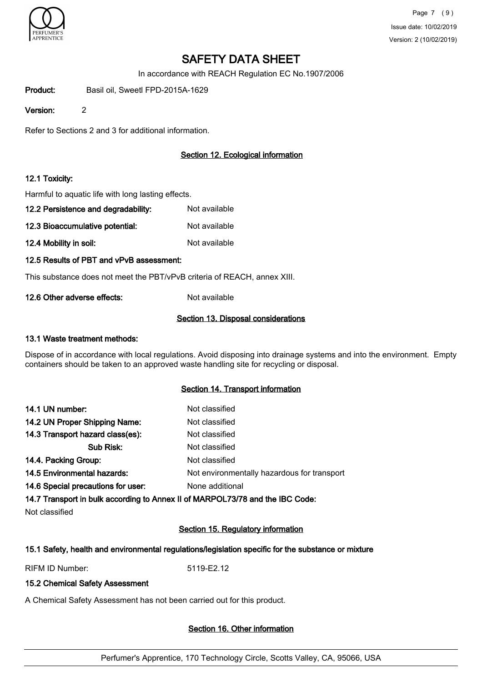

In accordance with REACH Regulation EC No.1907/2006

Product: Basil oil, Sweetl FPD-2015A-1629

Version: 2

Refer to Sections 2 and 3 for additional information.

# Section 12. Ecological information

## 12.1 Toxicity:

Harmful to aquatic life with long lasting effects.

- 12.2 Persistence and degradability: Not available
- 12.3 Bioaccumulative potential: Not available

12.4 Mobility in soil: Not available

## 12.5 Results of PBT and vPvB assessment:

This substance does not meet the PBT/vPvB criteria of REACH, annex XIII.

12.6 Other adverse effects: Not available

## Section 13. Disposal considerations

### 13.1 Waste treatment methods:

Dispose of in accordance with local regulations. Avoid disposing into drainage systems and into the environment. Empty containers should be taken to an approved waste handling site for recycling or disposal.

### Section 14. Transport information

| 14.1 UN number:                    | Not classified                              |
|------------------------------------|---------------------------------------------|
| 14.2 UN Proper Shipping Name:      | Not classified                              |
| 14.3 Transport hazard class(es):   | Not classified                              |
| Sub Risk:                          | Not classified                              |
| 14.4. Packing Group:               | Not classified                              |
| 14.5 Environmental hazards:        | Not environmentally hazardous for transport |
| 14.6 Special precautions for user: | None additional                             |
|                                    |                                             |

14.7 Transport in bulk according to Annex II of MARPOL73/78 and the IBC Code:

Not classified

# Section 15. Regulatory information

# 15.1 Safety, health and environmental regulations/legislation specific for the substance or mixture

RIFM ID Number: 5119-E2.12

# 15.2 Chemical Safety Assessment

A Chemical Safety Assessment has not been carried out for this product.

# Section 16. Other information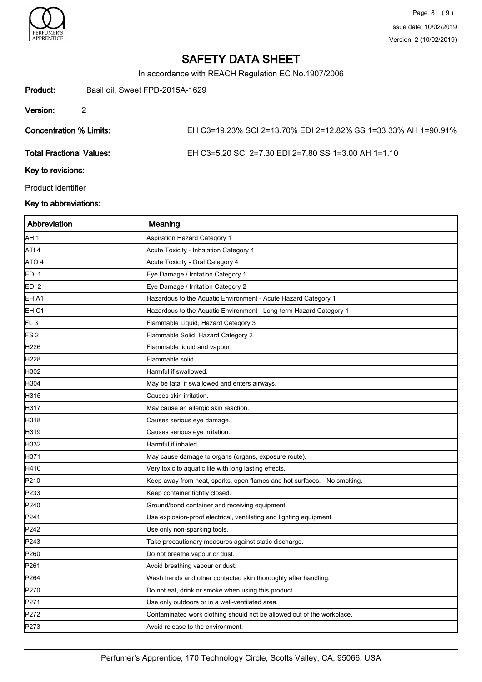

In accordance with REACH Regulation EC No.1907/2006

| Product:                        | Basil oil, Sweet FPD-2015A-1629 |                                                                |  |
|---------------------------------|---------------------------------|----------------------------------------------------------------|--|
| Version:                        | 2                               |                                                                |  |
| Concentration % Limits:         |                                 | EH C3=19.23% SCI 2=13.70% EDI 2=12.82% SS 1=33.33% AH 1=90.91% |  |
| <b>Total Fractional Values:</b> |                                 | EH C3=5.20 SCI 2=7.30 EDI 2=7.80 SS 1=3.00 AH 1=1.10           |  |
| Key to revisions:               |                                 |                                                                |  |
| Product identifier              |                                 |                                                                |  |

## Key to abbreviations:

| Abbreviation     | Meaning                                                                  |
|------------------|--------------------------------------------------------------------------|
| AH <sub>1</sub>  | <b>Aspiration Hazard Category 1</b>                                      |
| ATI <sub>4</sub> | Acute Toxicity - Inhalation Category 4                                   |
| ATO <sub>4</sub> | Acute Toxicity - Oral Category 4                                         |
| EDI <sub>1</sub> | Eye Damage / Irritation Category 1                                       |
| EDI <sub>2</sub> | Eye Damage / Irritation Category 2                                       |
| EH A1            | Hazardous to the Aquatic Environment - Acute Hazard Category 1           |
| EH C1            | Hazardous to the Aquatic Environment - Long-term Hazard Category 1       |
| FL <sub>3</sub>  | Flammable Liquid, Hazard Category 3                                      |
| FS <sub>2</sub>  | Flammable Solid, Hazard Category 2                                       |
| H226             | Flammable liquid and vapour.                                             |
| H228             | Flammable solid.                                                         |
| H302             | Harmful if swallowed.                                                    |
| H304             | May be fatal if swallowed and enters airways.                            |
| H315             | Causes skin irritation.                                                  |
| H317             | May cause an allergic skin reaction.                                     |
| H318             | Causes serious eye damage.                                               |
| H319             | Causes serious eye irritation.                                           |
| H332             | Harmful if inhaled.                                                      |
| H371             | May cause damage to organs (organs, exposure route).                     |
| H410             | Very toxic to aquatic life with long lasting effects.                    |
| P210             | Keep away from heat, sparks, open flames and hot surfaces. - No smoking. |
| P233             | Keep container tightly closed.                                           |
| P240             | Ground/bond container and receiving equipment.                           |
| P241             | Use explosion-proof electrical, ventilating and lighting equipment.      |
| P242             | Use only non-sparking tools.                                             |
| P243             | Take precautionary measures against static discharge.                    |
| P260             | Do not breathe vapour or dust.                                           |
| P261             | Avoid breathing vapour or dust.                                          |
| P <sub>264</sub> | Wash hands and other contacted skin thoroughly after handling.           |
| P270             | Do not eat, drink or smoke when using this product.                      |
| P271             | Use only outdoors or in a well-ventilated area.                          |
| P272             | Contaminated work clothing should not be allowed out of the workplace.   |
| P273             | Avoid release to the environment.                                        |